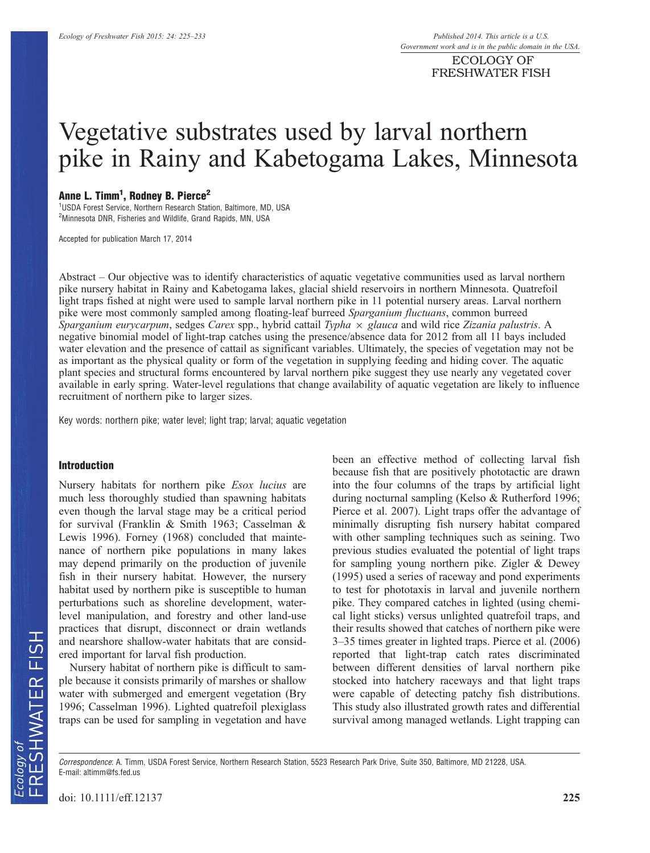ECOLOGY OF FRESHWATER FISH

# Vegetative substrates used by larval northern pike in Rainy and Kabetogama Lakes, Minnesota

# Anne L. Timm<sup>1</sup>, Rodney B. Pierce<sup>2</sup>

<sup>1</sup>USDA Forest Service, Northern Research Station, Baltimore, MD, USA <sup>2</sup>Minnesota DNR, Fisheries and Wildlife, Grand Rapids, MN, USA

Accepted for publication March 17, 2014

Abstract – Our objective was to identify characteristics of aquatic vegetative communities used as larval northern pike nursery habitat in Rainy and Kabetogama lakes, glacial shield reservoirs in northern Minnesota. Quatrefoil light traps fished at night were used to sample larval northern pike in 11 potential nursery areas. Larval northern pike were most commonly sampled among floating-leaf burreed Sparganium fluctuans, common burreed Sparganium eurycarpum, sedges Carex spp., hybrid cattail Typha  $\times$  glauca and wild rice Zizania palustris. A negative binomial model of light-trap catches using the presence/absence data for 2012 from all 11 bays included water elevation and the presence of cattail as significant variables. Ultimately, the species of vegetation may not be as important as the physical quality or form of the vegetation in supplying feeding and hiding cover. The aquatic plant species and structural forms encountered by larval northern pike suggest they use nearly any vegetated cover available in early spring. Water-level regulations that change availability of aquatic vegetation are likely to influence recruitment of northern pike to larger sizes.

Key words: northern pike; water level; light trap; larval; aquatic vegetation

#### Introduction

Nursery habitats for northern pike Esox lucius are much less thoroughly studied than spawning habitats even though the larval stage may be a critical period for survival (Franklin & Smith 1963; Casselman & Lewis 1996). Forney (1968) concluded that maintenance of northern pike populations in many lakes may depend primarily on the production of juvenile fish in their nursery habitat. However, the nursery habitat used by northern pike is susceptible to human perturbations such as shoreline development, waterlevel manipulation, and forestry and other land-use practices that disrupt, disconnect or drain wetlands and nearshore shallow-water habitats that are considered important for larval fish production.

Nursery habitat of northern pike is difficult to sample because it consists primarily of marshes or shallow water with submerged and emergent vegetation (Bry 1996; Casselman 1996). Lighted quatrefoil plexiglass traps can be used for sampling in vegetation and have

been an effective method of collecting larval fish because fish that are positively phototactic are drawn into the four columns of the traps by artificial light during nocturnal sampling (Kelso & Rutherford 1996; Pierce et al. 2007). Light traps offer the advantage of minimally disrupting fish nursery habitat compared with other sampling techniques such as seining. Two previous studies evaluated the potential of light traps for sampling young northern pike. Zigler & Dewey (1995) used a series of raceway and pond experiments to test for phototaxis in larval and juvenile northern pike. They compared catches in lighted (using chemical light sticks) versus unlighted quatrefoil traps, and their results showed that catches of northern pike were 3–35 times greater in lighted traps. Pierce et al. (2006) reported that light-trap catch rates discriminated between different densities of larval northern pike stocked into hatchery raceways and that light traps were capable of detecting patchy fish distributions. This study also illustrated growth rates and differential survival among managed wetlands. Light trapping can

Correspondence: A. Timm, USDA Forest Service, Northern Research Station, 5523 Research Park Drive, Suite 350, Baltimore, MD 21228, USA. E-mail: altimm@fs.fed.us

doi: 10.1111/eff.12137 225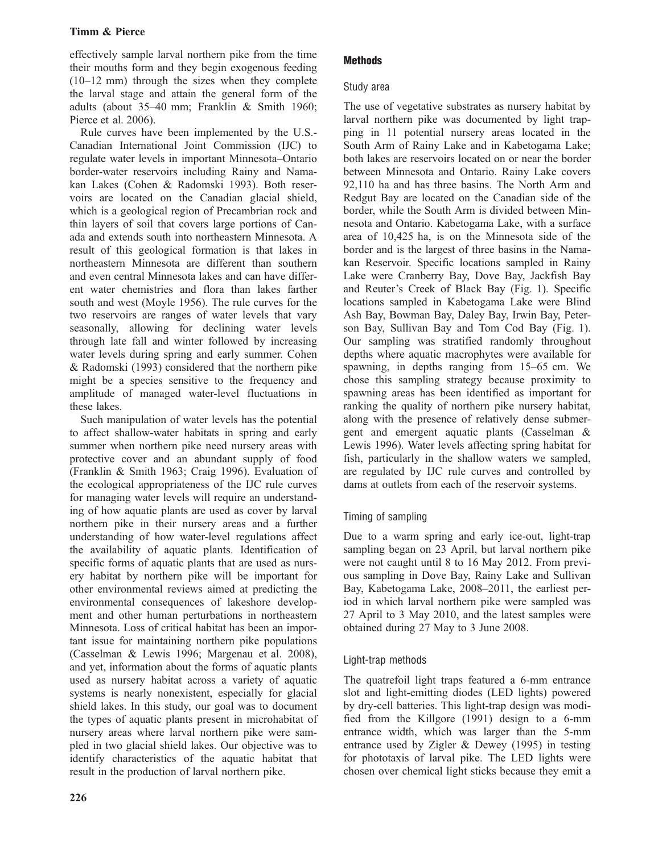# Timm & Pierce

effectively sample larval northern pike from the time their mouths form and they begin exogenous feeding (10–12 mm) through the sizes when they complete the larval stage and attain the general form of the adults (about 35–40 mm; Franklin & Smith 1960; Pierce et al. 2006).

Rule curves have been implemented by the U.S.- Canadian International Joint Commission (IJC) to regulate water levels in important Minnesota–Ontario border-water reservoirs including Rainy and Namakan Lakes (Cohen & Radomski 1993). Both reservoirs are located on the Canadian glacial shield, which is a geological region of Precambrian rock and thin layers of soil that covers large portions of Canada and extends south into northeastern Minnesota. A result of this geological formation is that lakes in northeastern Minnesota are different than southern and even central Minnesota lakes and can have different water chemistries and flora than lakes farther south and west (Moyle 1956). The rule curves for the two reservoirs are ranges of water levels that vary seasonally, allowing for declining water levels through late fall and winter followed by increasing water levels during spring and early summer. Cohen & Radomski (1993) considered that the northern pike might be a species sensitive to the frequency and amplitude of managed water-level fluctuations in these lakes.

Such manipulation of water levels has the potential to affect shallow-water habitats in spring and early summer when northern pike need nursery areas with protective cover and an abundant supply of food (Franklin & Smith 1963; Craig 1996). Evaluation of the ecological appropriateness of the IJC rule curves for managing water levels will require an understanding of how aquatic plants are used as cover by larval northern pike in their nursery areas and a further understanding of how water-level regulations affect the availability of aquatic plants. Identification of specific forms of aquatic plants that are used as nursery habitat by northern pike will be important for other environmental reviews aimed at predicting the environmental consequences of lakeshore development and other human perturbations in northeastern Minnesota. Loss of critical habitat has been an important issue for maintaining northern pike populations (Casselman & Lewis 1996; Margenau et al. 2008), and yet, information about the forms of aquatic plants used as nursery habitat across a variety of aquatic systems is nearly nonexistent, especially for glacial shield lakes. In this study, our goal was to document the types of aquatic plants present in microhabitat of nursery areas where larval northern pike were sampled in two glacial shield lakes. Our objective was to identify characteristics of the aquatic habitat that result in the production of larval northern pike.

# **Methods**

# Study area

The use of vegetative substrates as nursery habitat by larval northern pike was documented by light trapping in 11 potential nursery areas located in the South Arm of Rainy Lake and in Kabetogama Lake; both lakes are reservoirs located on or near the border between Minnesota and Ontario. Rainy Lake covers 92,110 ha and has three basins. The North Arm and Redgut Bay are located on the Canadian side of the border, while the South Arm is divided between Minnesota and Ontario. Kabetogama Lake, with a surface area of 10,425 ha, is on the Minnesota side of the border and is the largest of three basins in the Namakan Reservoir. Specific locations sampled in Rainy Lake were Cranberry Bay, Dove Bay, Jackfish Bay and Reuter's Creek of Black Bay (Fig. 1). Specific locations sampled in Kabetogama Lake were Blind Ash Bay, Bowman Bay, Daley Bay, Irwin Bay, Peterson Bay, Sullivan Bay and Tom Cod Bay (Fig. 1). Our sampling was stratified randomly throughout depths where aquatic macrophytes were available for spawning, in depths ranging from 15–65 cm. We chose this sampling strategy because proximity to spawning areas has been identified as important for ranking the quality of northern pike nursery habitat, along with the presence of relatively dense submergent and emergent aquatic plants (Casselman & Lewis 1996). Water levels affecting spring habitat for fish, particularly in the shallow waters we sampled, are regulated by IJC rule curves and controlled by dams at outlets from each of the reservoir systems.

# Timing of sampling

Due to a warm spring and early ice-out, light-trap sampling began on 23 April, but larval northern pike were not caught until 8 to 16 May 2012. From previous sampling in Dove Bay, Rainy Lake and Sullivan Bay, Kabetogama Lake, 2008–2011, the earliest period in which larval northern pike were sampled was 27 April to 3 May 2010, and the latest samples were obtained during 27 May to 3 June 2008.

# Light-trap methods

The quatrefoil light traps featured a 6-mm entrance slot and light-emitting diodes (LED lights) powered by dry-cell batteries. This light-trap design was modified from the Killgore (1991) design to a 6-mm entrance width, which was larger than the 5-mm entrance used by Zigler & Dewey (1995) in testing for phototaxis of larval pike. The LED lights were chosen over chemical light sticks because they emit a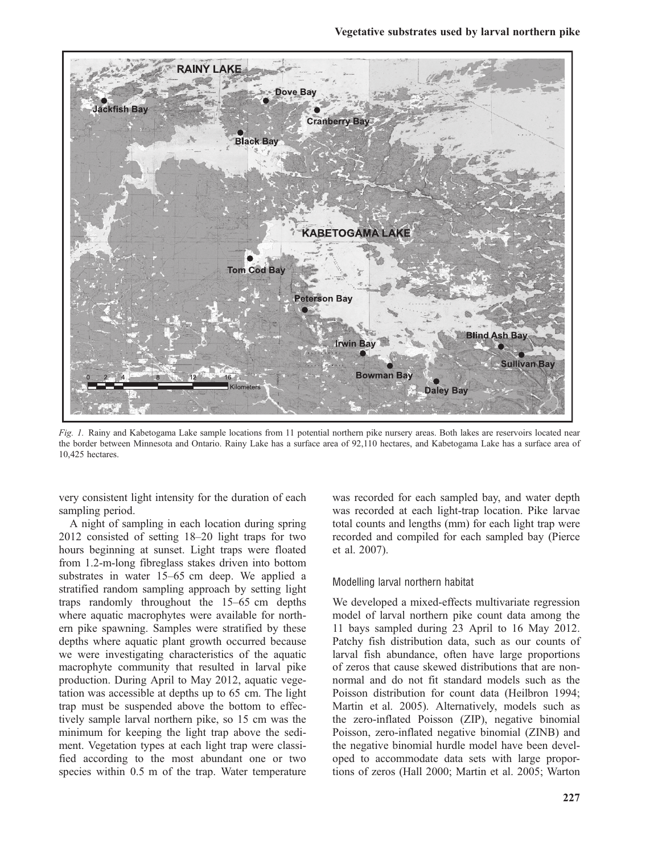

Fig. 1. Rainy and Kabetogama Lake sample locations from 11 potential northern pike nursery areas. Both lakes are reservoirs located near the border between Minnesota and Ontario. Rainy Lake has a surface area of 92,110 hectares, and Kabetogama Lake has a surface area of 10,425 hectares.

very consistent light intensity for the duration of each sampling period.

A night of sampling in each location during spring 2012 consisted of setting 18–20 light traps for two hours beginning at sunset. Light traps were floated from 1.2-m-long fibreglass stakes driven into bottom substrates in water 15–65 cm deep. We applied a stratified random sampling approach by setting light traps randomly throughout the 15–65 cm depths where aquatic macrophytes were available for northern pike spawning. Samples were stratified by these depths where aquatic plant growth occurred because we were investigating characteristics of the aquatic macrophyte community that resulted in larval pike production. During April to May 2012, aquatic vegetation was accessible at depths up to 65 cm. The light trap must be suspended above the bottom to effectively sample larval northern pike, so 15 cm was the minimum for keeping the light trap above the sediment. Vegetation types at each light trap were classified according to the most abundant one or two species within 0.5 m of the trap. Water temperature

was recorded for each sampled bay, and water depth was recorded at each light-trap location. Pike larvae total counts and lengths (mm) for each light trap were recorded and compiled for each sampled bay (Pierce et al. 2007).

#### Modelling larval northern habitat

We developed a mixed-effects multivariate regression model of larval northern pike count data among the 11 bays sampled during 23 April to 16 May 2012. Patchy fish distribution data, such as our counts of larval fish abundance, often have large proportions of zeros that cause skewed distributions that are nonnormal and do not fit standard models such as the Poisson distribution for count data (Heilbron 1994; Martin et al. 2005). Alternatively, models such as the zero-inflated Poisson (ZIP), negative binomial Poisson, zero-inflated negative binomial (ZINB) and the negative binomial hurdle model have been developed to accommodate data sets with large proportions of zeros (Hall 2000; Martin et al. 2005; Warton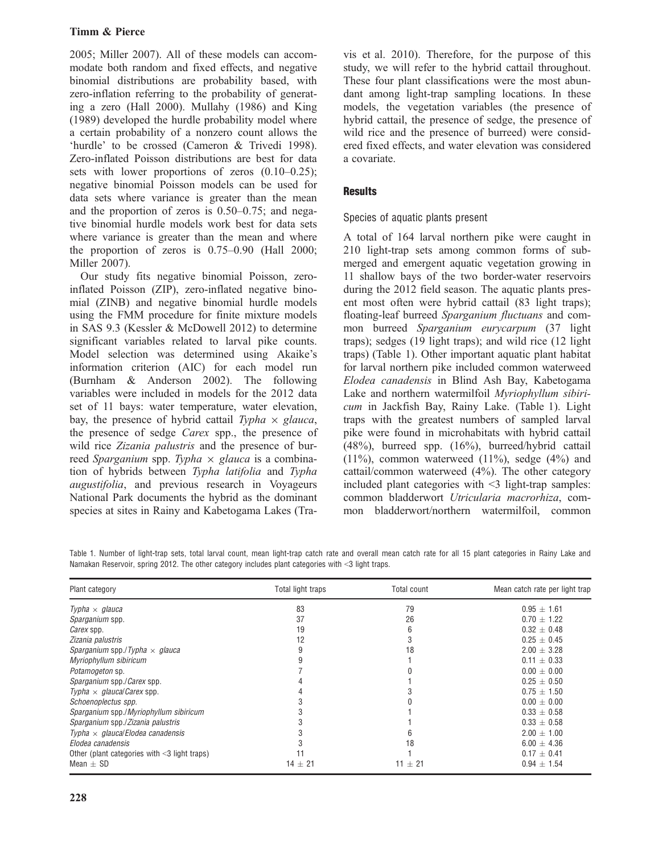# Timm & Pierce

2005; Miller 2007). All of these models can accommodate both random and fixed effects, and negative binomial distributions are probability based, with zero-inflation referring to the probability of generating a zero (Hall 2000). Mullahy (1986) and King (1989) developed the hurdle probability model where a certain probability of a nonzero count allows the 'hurdle' to be crossed (Cameron & Trivedi 1998). Zero-inflated Poisson distributions are best for data sets with lower proportions of zeros (0.10–0.25); negative binomial Poisson models can be used for data sets where variance is greater than the mean and the proportion of zeros is 0.50–0.75; and negative binomial hurdle models work best for data sets where variance is greater than the mean and where the proportion of zeros is 0.75–0.90 (Hall 2000; Miller 2007).

Our study fits negative binomial Poisson, zeroinflated Poisson (ZIP), zero-inflated negative binomial (ZINB) and negative binomial hurdle models using the FMM procedure for finite mixture models in SAS 9.3 (Kessler & McDowell 2012) to determine significant variables related to larval pike counts. Model selection was determined using Akaike's information criterion (AIC) for each model run (Burnham & Anderson 2002). The following variables were included in models for the 2012 data set of 11 bays: water temperature, water elevation, bay, the presence of hybrid cattail Typha  $\times$  glauca, the presence of sedge Carex spp., the presence of wild rice Zizania palustris and the presence of burreed Sparganium spp. Typha  $\times$  glauca is a combination of hybrids between Typha latifolia and Typha augustifolia, and previous research in Voyageurs National Park documents the hybrid as the dominant species at sites in Rainy and Kabetogama Lakes (Travis et al. 2010). Therefore, for the purpose of this study, we will refer to the hybrid cattail throughout. These four plant classifications were the most abundant among light-trap sampling locations. In these models, the vegetation variables (the presence of hybrid cattail, the presence of sedge, the presence of wild rice and the presence of burreed) were considered fixed effects, and water elevation was considered a covariate.

# **Results**

# Species of aquatic plants present

A total of 164 larval northern pike were caught in 210 light-trap sets among common forms of submerged and emergent aquatic vegetation growing in 11 shallow bays of the two border-water reservoirs during the 2012 field season. The aquatic plants present most often were hybrid cattail (83 light traps); floating-leaf burreed Sparganium fluctuans and common burreed Sparganium eurycarpum (37 light traps); sedges (19 light traps); and wild rice (12 light traps) (Table 1). Other important aquatic plant habitat for larval northern pike included common waterweed Elodea canadensis in Blind Ash Bay, Kabetogama Lake and northern watermilfoil Myriophyllum sibiricum in Jackfish Bay, Rainy Lake. (Table 1). Light traps with the greatest numbers of sampled larval pike were found in microhabitats with hybrid cattail (48%), burreed spp. (16%), burreed/hybrid cattail (11%), common waterweed (11%), sedge (4%) and cattail/common waterweed (4%). The other category included plant categories with  $\leq$  3 light-trap samples: common bladderwort Utricularia macrorhiza, common bladderwort/northern watermilfoil, common

Table 1. Number of light-trap sets, total larval count, mean light-trap catch rate and overall mean catch rate for all 15 plant categories in Rainy Lake and Namakan Reservoir, spring 2012. The other category includes plant categories with <3 light traps.

| Plant category                                     | Total light traps | Total count | Mean catch rate per light trap |
|----------------------------------------------------|-------------------|-------------|--------------------------------|
| Typha $\times$ glauca                              | 83                | 79          | $0.95 \pm 1.61$                |
| Sparganium spp.                                    | 37                | 26          | $0.70 + 1.22$                  |
| <i>Carex</i> spp.                                  | 19                | 6           | $0.32 \pm 0.48$                |
| Zizania palustris                                  | 12                | 3           | $0.25 + 0.45$                  |
| Sparganium spp./Typha $\times$ glauca              |                   | 18          | $2.00 + 3.28$                  |
| Myriophyllum sibiricum                             |                   |             | $0.11 \pm 0.33$                |
| <i>Potamogeton</i> sp.                             |                   |             | $0.00 + 0.00$                  |
| Sparganium spp./Carex spp.                         |                   |             | $0.25 + 0.50$                  |
| Typha $\times$ glaucal Carex spp.                  |                   |             | $0.75 \pm 1.50$                |
| Schoenoplectus spp.                                |                   |             | $0.00 + 0.00$                  |
| Sparganium spp./Myriophyllum sibiricum             |                   |             | $0.33 \pm 0.58$                |
| Sparganium spp./Zizania palustris                  |                   |             | $0.33 \pm 0.58$                |
| Typha $\times$ glaucal Elodea canadensis           |                   | 6           | $2.00 \pm 1.00$                |
| Elodea canadensis                                  |                   | 18          | $6.00 \pm 4.36$                |
| Other (plant categories with $\leq$ 3 light traps) |                   |             | $0.17 \pm 0.41$                |
| Mean $\pm$ SD                                      | $14 \pm 21$       | $11 \pm 21$ | $0.94 \pm 1.54$                |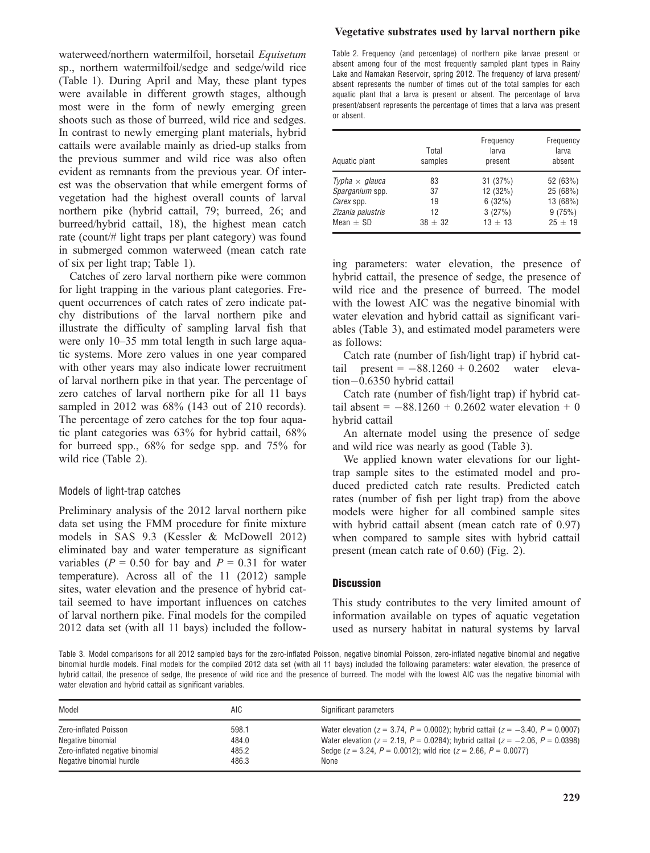waterweed/northern watermilfoil, horsetail Equisetum sp., northern watermilfoil/sedge and sedge/wild rice (Table 1). During April and May, these plant types were available in different growth stages, although most were in the form of newly emerging green shoots such as those of burreed, wild rice and sedges. In contrast to newly emerging plant materials, hybrid cattails were available mainly as dried-up stalks from the previous summer and wild rice was also often evident as remnants from the previous year. Of interest was the observation that while emergent forms of vegetation had the highest overall counts of larval northern pike (hybrid cattail, 79; burreed, 26; and burreed/hybrid cattail, 18), the highest mean catch rate (count/# light traps per plant category) was found in submerged common waterweed (mean catch rate of six per light trap; Table 1).

Catches of zero larval northern pike were common for light trapping in the various plant categories. Frequent occurrences of catch rates of zero indicate patchy distributions of the larval northern pike and illustrate the difficulty of sampling larval fish that were only 10–35 mm total length in such large aquatic systems. More zero values in one year compared with other years may also indicate lower recruitment of larval northern pike in that year. The percentage of zero catches of larval northern pike for all 11 bays sampled in 2012 was 68% (143 out of 210 records). The percentage of zero catches for the top four aquatic plant categories was 63% for hybrid cattail, 68% for burreed spp., 68% for sedge spp. and 75% for wild rice (Table 2).

## Models of light-trap catches

Preliminary analysis of the 2012 larval northern pike data set using the FMM procedure for finite mixture models in SAS 9.3 (Kessler & McDowell 2012) eliminated bay and water temperature as significant variables ( $P = 0.50$  for bay and  $P = 0.31$  for water temperature). Across all of the 11 (2012) sample sites, water elevation and the presence of hybrid cattail seemed to have important influences on catches of larval northern pike. Final models for the compiled 2012 data set (with all 11 bays) included the follow-

## Vegetative substrates used by larval northern pike

Table 2. Frequency (and percentage) of northern pike larvae present or absent among four of the most frequently sampled plant types in Rainy Lake and Namakan Reservoir, spring 2012. The frequency of larva present/ absent represents the number of times out of the total samples for each aquatic plant that a larva is present or absent. The percentage of larva present/absent represents the percentage of times that a larva was present or absent.

| Aquatic plant         | Total<br>samples | Frequency<br>larva<br>present | Frequency<br>larva<br>absent |
|-----------------------|------------------|-------------------------------|------------------------------|
| Typha $\times$ glauca | 83               | 31(37%)                       | 52 (63%)                     |
| Sparganium spp.       | 37               | 12 (32%)                      | 25 (68%)                     |
| <i>Carex</i> spp.     | 19               | 6(32%)                        | 13 (68%)                     |
| Zizania palustris     | 12               | 3(27%)                        | 9(75%)                       |
| Mean $\pm$ SD         | $38 + 32$        | $13 + 13$                     | $25 + 19$                    |

ing parameters: water elevation, the presence of hybrid cattail, the presence of sedge, the presence of wild rice and the presence of burreed. The model with the lowest AIC was the negative binomial with water elevation and hybrid cattail as significant variables (Table 3), and estimated model parameters were as follows:

Catch rate (number of fish/light trap) if hybrid cattail present  $= -88.1260 + 0.2602$  water eleva $tion-0.6350$  hybrid cattail

Catch rate (number of fish/light trap) if hybrid cattail absent =  $-88.1260 + 0.2602$  water elevation + 0 hybrid cattail

An alternate model using the presence of sedge and wild rice was nearly as good (Table 3).

We applied known water elevations for our lighttrap sample sites to the estimated model and produced predicted catch rate results. Predicted catch rates (number of fish per light trap) from the above models were higher for all combined sample sites with hybrid cattail absent (mean catch rate of 0.97) when compared to sample sites with hybrid cattail present (mean catch rate of 0.60) (Fig. 2).

## **Discussion**

This study contributes to the very limited amount of information available on types of aquatic vegetation used as nursery habitat in natural systems by larval

Table 3. Model comparisons for all 2012 sampled bays for the zero-inflated Poisson, negative binomial Poisson, zero-inflated negative binomial and negative binomial hurdle models. Final models for the compiled 2012 data set (with all 11 bays) included the following parameters: water elevation, the presence of hybrid cattail, the presence of sedge, the presence of wild rice and the presence of burreed. The model with the lowest AIC was the negative binomial with water elevation and hybrid cattail as significant variables.

| Model                           | AIC   | Significant parameters                                                                       |
|---------------------------------|-------|----------------------------------------------------------------------------------------------|
| Zero-inflated Poisson           | 598.1 | Water elevation ( $z = 3.74$ , $P = 0.0002$ ); hybrid cattail ( $z = -3.40$ , $P = 0.0007$ ) |
| Negative binomial               | 484.0 | Water elevation ( $z = 2.19$ , $P = 0.0284$ ); hybrid cattail ( $z = -2.06$ , $P = 0.0398$ ) |
| Zero-inflated negative binomial | 485.2 | Sedge ( $z = 3.24$ , $P = 0.0012$ ); wild rice ( $z = 2.66$ , $P = 0.0077$ )                 |
| Negative binomial hurdle        | 486.3 | None                                                                                         |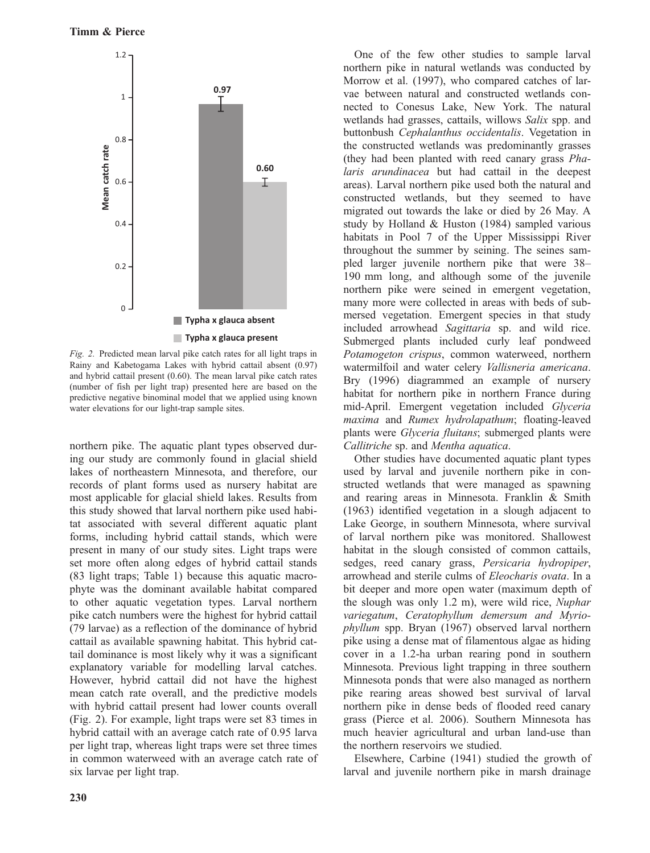

Fig. 2. Predicted mean larval pike catch rates for all light traps in Rainy and Kabetogama Lakes with hybrid cattail absent (0.97) and hybrid cattail present (0.60). The mean larval pike catch rates (number of fish per light trap) presented here are based on the predictive negative binominal model that we applied using known water elevations for our light-trap sample sites.

northern pike. The aquatic plant types observed during our study are commonly found in glacial shield lakes of northeastern Minnesota, and therefore, our records of plant forms used as nursery habitat are most applicable for glacial shield lakes. Results from this study showed that larval northern pike used habitat associated with several different aquatic plant forms, including hybrid cattail stands, which were present in many of our study sites. Light traps were set more often along edges of hybrid cattail stands (83 light traps; Table 1) because this aquatic macrophyte was the dominant available habitat compared to other aquatic vegetation types. Larval northern pike catch numbers were the highest for hybrid cattail (79 larvae) as a reflection of the dominance of hybrid cattail as available spawning habitat. This hybrid cattail dominance is most likely why it was a significant explanatory variable for modelling larval catches. However, hybrid cattail did not have the highest mean catch rate overall, and the predictive models with hybrid cattail present had lower counts overall (Fig. 2). For example, light traps were set 83 times in hybrid cattail with an average catch rate of 0.95 larva per light trap, whereas light traps were set three times in common waterweed with an average catch rate of six larvae per light trap.

One of the few other studies to sample larval northern pike in natural wetlands was conducted by Morrow et al. (1997), who compared catches of larvae between natural and constructed wetlands connected to Conesus Lake, New York. The natural wetlands had grasses, cattails, willows Salix spp. and buttonbush Cephalanthus occidentalis. Vegetation in the constructed wetlands was predominantly grasses (they had been planted with reed canary grass Phalaris arundinacea but had cattail in the deepest areas). Larval northern pike used both the natural and constructed wetlands, but they seemed to have migrated out towards the lake or died by 26 May. A study by Holland & Huston (1984) sampled various habitats in Pool 7 of the Upper Mississippi River throughout the summer by seining. The seines sampled larger juvenile northern pike that were 38– 190 mm long, and although some of the juvenile northern pike were seined in emergent vegetation, many more were collected in areas with beds of submersed vegetation. Emergent species in that study included arrowhead Sagittaria sp. and wild rice. Submerged plants included curly leaf pondweed Potamogeton crispus, common waterweed, northern watermilfoil and water celery Vallisneria americana. Bry (1996) diagrammed an example of nursery habitat for northern pike in northern France during mid-April. Emergent vegetation included Glyceria maxima and Rumex hydrolapathum; floating-leaved plants were Glyceria fluitans; submerged plants were Callitriche sp. and Mentha aquatica.

Other studies have documented aquatic plant types used by larval and juvenile northern pike in constructed wetlands that were managed as spawning and rearing areas in Minnesota. Franklin & Smith (1963) identified vegetation in a slough adjacent to Lake George, in southern Minnesota, where survival of larval northern pike was monitored. Shallowest habitat in the slough consisted of common cattails, sedges, reed canary grass, Persicaria hydropiper, arrowhead and sterile culms of Eleocharis ovata. In a bit deeper and more open water (maximum depth of the slough was only 1.2 m), were wild rice, Nuphar variegatum, Ceratophyllum demersum and Myriophyllum spp. Bryan (1967) observed larval northern pike using a dense mat of filamentous algae as hiding cover in a 1.2-ha urban rearing pond in southern Minnesota. Previous light trapping in three southern Minnesota ponds that were also managed as northern pike rearing areas showed best survival of larval northern pike in dense beds of flooded reed canary grass (Pierce et al. 2006). Southern Minnesota has much heavier agricultural and urban land-use than the northern reservoirs we studied.

Elsewhere, Carbine (1941) studied the growth of larval and juvenile northern pike in marsh drainage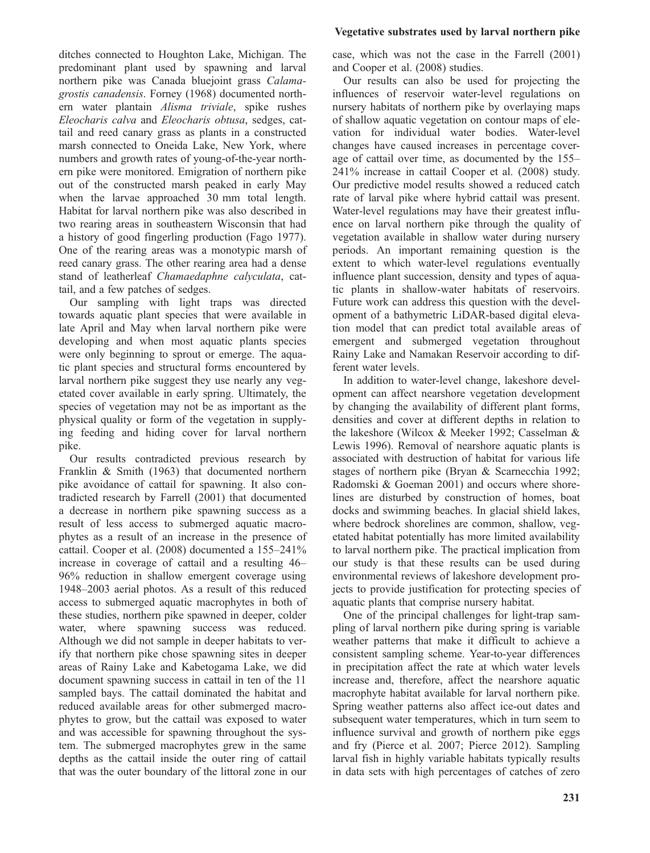ditches connected to Houghton Lake, Michigan. The predominant plant used by spawning and larval northern pike was Canada bluejoint grass Calamagrostis canadensis. Forney (1968) documented northern water plantain Alisma triviale, spike rushes Eleocharis calva and Eleocharis obtusa, sedges, cattail and reed canary grass as plants in a constructed marsh connected to Oneida Lake, New York, where numbers and growth rates of young-of-the-year northern pike were monitored. Emigration of northern pike out of the constructed marsh peaked in early May when the larvae approached 30 mm total length. Habitat for larval northern pike was also described in two rearing areas in southeastern Wisconsin that had a history of good fingerling production (Fago 1977). One of the rearing areas was a monotypic marsh of reed canary grass. The other rearing area had a dense stand of leatherleaf Chamaedaphne calyculata, cattail, and a few patches of sedges.

Our sampling with light traps was directed towards aquatic plant species that were available in late April and May when larval northern pike were developing and when most aquatic plants species were only beginning to sprout or emerge. The aquatic plant species and structural forms encountered by larval northern pike suggest they use nearly any vegetated cover available in early spring. Ultimately, the species of vegetation may not be as important as the physical quality or form of the vegetation in supplying feeding and hiding cover for larval northern pike.

Our results contradicted previous research by Franklin & Smith (1963) that documented northern pike avoidance of cattail for spawning. It also contradicted research by Farrell (2001) that documented a decrease in northern pike spawning success as a result of less access to submerged aquatic macrophytes as a result of an increase in the presence of cattail. Cooper et al. (2008) documented a 155–241% increase in coverage of cattail and a resulting 46– 96% reduction in shallow emergent coverage using 1948–2003 aerial photos. As a result of this reduced access to submerged aquatic macrophytes in both of these studies, northern pike spawned in deeper, colder water, where spawning success was reduced. Although we did not sample in deeper habitats to verify that northern pike chose spawning sites in deeper areas of Rainy Lake and Kabetogama Lake, we did document spawning success in cattail in ten of the 11 sampled bays. The cattail dominated the habitat and reduced available areas for other submerged macrophytes to grow, but the cattail was exposed to water and was accessible for spawning throughout the system. The submerged macrophytes grew in the same depths as the cattail inside the outer ring of cattail that was the outer boundary of the littoral zone in our

# Vegetative substrates used by larval northern pike

case, which was not the case in the Farrell (2001) and Cooper et al. (2008) studies.

Our results can also be used for projecting the influences of reservoir water-level regulations on nursery habitats of northern pike by overlaying maps of shallow aquatic vegetation on contour maps of elevation for individual water bodies. Water-level changes have caused increases in percentage coverage of cattail over time, as documented by the 155– 241% increase in cattail Cooper et al. (2008) study. Our predictive model results showed a reduced catch rate of larval pike where hybrid cattail was present. Water-level regulations may have their greatest influence on larval northern pike through the quality of vegetation available in shallow water during nursery periods. An important remaining question is the extent to which water-level regulations eventually influence plant succession, density and types of aquatic plants in shallow-water habitats of reservoirs. Future work can address this question with the development of a bathymetric LiDAR-based digital elevation model that can predict total available areas of emergent and submerged vegetation throughout Rainy Lake and Namakan Reservoir according to different water levels.

In addition to water-level change, lakeshore development can affect nearshore vegetation development by changing the availability of different plant forms, densities and cover at different depths in relation to the lakeshore (Wilcox & Meeker 1992; Casselman & Lewis 1996). Removal of nearshore aquatic plants is associated with destruction of habitat for various life stages of northern pike (Bryan & Scarnecchia 1992; Radomski & Goeman 2001) and occurs where shorelines are disturbed by construction of homes, boat docks and swimming beaches. In glacial shield lakes, where bedrock shorelines are common, shallow, vegetated habitat potentially has more limited availability to larval northern pike. The practical implication from our study is that these results can be used during environmental reviews of lakeshore development projects to provide justification for protecting species of aquatic plants that comprise nursery habitat.

One of the principal challenges for light-trap sampling of larval northern pike during spring is variable weather patterns that make it difficult to achieve a consistent sampling scheme. Year-to-year differences in precipitation affect the rate at which water levels increase and, therefore, affect the nearshore aquatic macrophyte habitat available for larval northern pike. Spring weather patterns also affect ice-out dates and subsequent water temperatures, which in turn seem to influence survival and growth of northern pike eggs and fry (Pierce et al. 2007; Pierce 2012). Sampling larval fish in highly variable habitats typically results in data sets with high percentages of catches of zero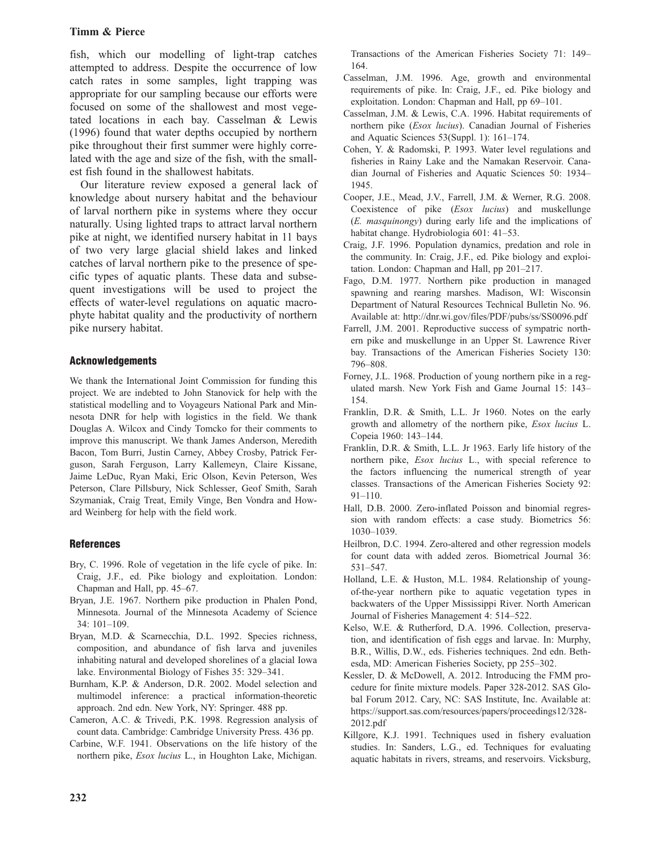## Timm & Pierce

fish, which our modelling of light-trap catches attempted to address. Despite the occurrence of low catch rates in some samples, light trapping was appropriate for our sampling because our efforts were focused on some of the shallowest and most vegetated locations in each bay. Casselman & Lewis (1996) found that water depths occupied by northern pike throughout their first summer were highly correlated with the age and size of the fish, with the smallest fish found in the shallowest habitats.

Our literature review exposed a general lack of knowledge about nursery habitat and the behaviour of larval northern pike in systems where they occur naturally. Using lighted traps to attract larval northern pike at night, we identified nursery habitat in 11 bays of two very large glacial shield lakes and linked catches of larval northern pike to the presence of specific types of aquatic plants. These data and subsequent investigations will be used to project the effects of water-level regulations on aquatic macrophyte habitat quality and the productivity of northern pike nursery habitat.

## Acknowledgements

We thank the International Joint Commission for funding this project. We are indebted to John Stanovick for help with the statistical modelling and to Voyageurs National Park and Minnesota DNR for help with logistics in the field. We thank Douglas A. Wilcox and Cindy Tomcko for their comments to improve this manuscript. We thank James Anderson, Meredith Bacon, Tom Burri, Justin Carney, Abbey Crosby, Patrick Ferguson, Sarah Ferguson, Larry Kallemeyn, Claire Kissane, Jaime LeDuc, Ryan Maki, Eric Olson, Kevin Peterson, Wes Peterson, Clare Pillsbury, Nick Schlesser, Geof Smith, Sarah Szymaniak, Craig Treat, Emily Vinge, Ben Vondra and Howard Weinberg for help with the field work.

# **References**

- Bry, C. 1996. Role of vegetation in the life cycle of pike. In: Craig, J.F., ed. Pike biology and exploitation. London: Chapman and Hall, pp. 45–67.
- Bryan, J.E. 1967. Northern pike production in Phalen Pond, Minnesota. Journal of the Minnesota Academy of Science 34: 101–109.
- Bryan, M.D. & Scarnecchia, D.L. 1992. Species richness, composition, and abundance of fish larva and juveniles inhabiting natural and developed shorelines of a glacial Iowa lake. Environmental Biology of Fishes 35: 329–341.
- Burnham, K.P. & Anderson, D.R. 2002. Model selection and multimodel inference: a practical information-theoretic approach. 2nd edn. New York, NY: Springer. 488 pp.
- Cameron, A.C. & Trivedi, P.K. 1998. Regression analysis of count data. Cambridge: Cambridge University Press. 436 pp.
- Carbine, W.F. 1941. Observations on the life history of the northern pike, Esox lucius L., in Houghton Lake, Michigan.

Transactions of the American Fisheries Society 71: 149– 164.

- Casselman, J.M. 1996. Age, growth and environmental requirements of pike. In: Craig, J.F., ed. Pike biology and exploitation. London: Chapman and Hall, pp 69–101.
- Casselman, J.M. & Lewis, C.A. 1996. Habitat requirements of northern pike (Esox lucius). Canadian Journal of Fisheries and Aquatic Sciences 53(Suppl. 1): 161–174.
- Cohen, Y. & Radomski, P. 1993. Water level regulations and fisheries in Rainy Lake and the Namakan Reservoir. Canadian Journal of Fisheries and Aquatic Sciences 50: 1934– 1945.
- Cooper, J.E., Mead, J.V., Farrell, J.M. & Werner, R.G. 2008. Coexistence of pike (Esox lucius) and muskellunge (E. masquinongy) during early life and the implications of habitat change. Hydrobiologia 601: 41–53.
- Craig, J.F. 1996. Population dynamics, predation and role in the community. In: Craig, J.F., ed. Pike biology and exploitation. London: Chapman and Hall, pp 201–217.
- Fago, D.M. 1977. Northern pike production in managed spawning and rearing marshes. Madison, WI: Wisconsin Department of Natural Resources Technical Bulletin No. 96. Available at: http://dnr.wi.gov/files/PDF/pubs/ss/SS0096.pdf
- Farrell, J.M. 2001. Reproductive success of sympatric northern pike and muskellunge in an Upper St. Lawrence River bay. Transactions of the American Fisheries Society 130: 796–808.
- Forney, J.L. 1968. Production of young northern pike in a regulated marsh. New York Fish and Game Journal 15: 143– 154.
- Franklin, D.R. & Smith, L.L. Jr 1960. Notes on the early growth and allometry of the northern pike, Esox lucius L. Copeia 1960: 143–144.
- Franklin, D.R. & Smith, L.L. Jr 1963. Early life history of the northern pike, *Esox lucius* L., with special reference to the factors influencing the numerical strength of year classes. Transactions of the American Fisheries Society 92: 91–110.
- Hall, D.B. 2000. Zero-inflated Poisson and binomial regression with random effects: a case study. Biometrics 56: 1030–1039.
- Heilbron, D.C. 1994. Zero-altered and other regression models for count data with added zeros. Biometrical Journal 36: 531–547.
- Holland, L.E. & Huston, M.L. 1984. Relationship of youngof-the-year northern pike to aquatic vegetation types in backwaters of the Upper Mississippi River. North American Journal of Fisheries Management 4: 514–522.
- Kelso, W.E. & Rutherford, D.A. 1996. Collection, preservation, and identification of fish eggs and larvae. In: Murphy, B.R., Willis, D.W., eds. Fisheries techniques. 2nd edn. Bethesda, MD: American Fisheries Society, pp 255–302.
- Kessler, D. & McDowell, A. 2012. Introducing the FMM procedure for finite mixture models. Paper 328-2012. SAS Global Forum 2012. Cary, NC: SAS Institute, Inc. Available at: https://support.sas.com/resources/papers/proceedings12/328- 2012.pdf
- Killgore, K.J. 1991. Techniques used in fishery evaluation studies. In: Sanders, L.G., ed. Techniques for evaluating aquatic habitats in rivers, streams, and reservoirs. Vicksburg,